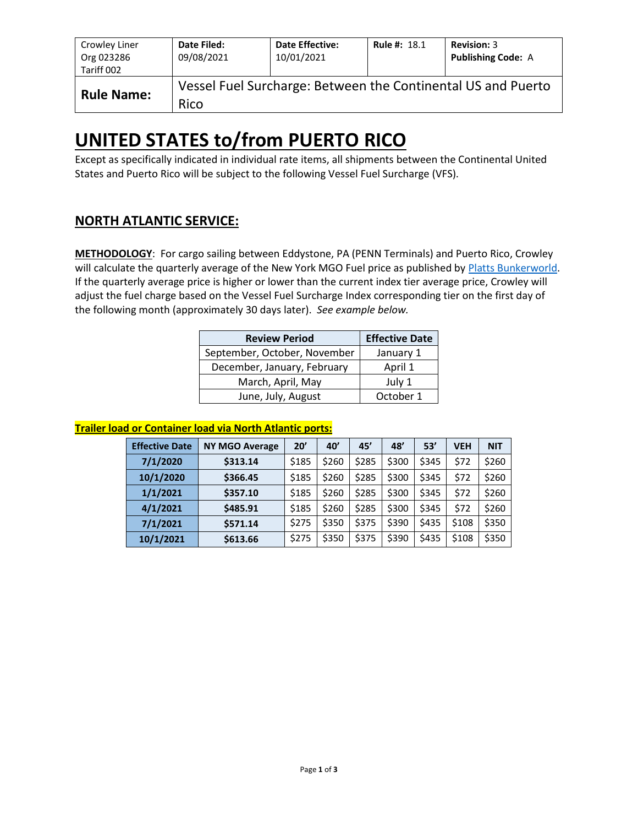| Crowley Liner<br>Org 023286<br>Tariff 002 | Date Filed:<br>09/08/2021 | <b>Date Effective:</b><br>10/01/2021 | <b>Rule #: 18.1</b> | <b>Revision: 3</b><br><b>Publishing Code: A</b>              |
|-------------------------------------------|---------------------------|--------------------------------------|---------------------|--------------------------------------------------------------|
| <b>Rule Name:</b>                         | Rico                      |                                      |                     | Vessel Fuel Surcharge: Between the Continental US and Puerto |

# **UNITED STATES to/from PUERTO RICO**

Except as specifically indicated in individual rate items, all shipments between the Continental United States and Puerto Rico will be subject to the following Vessel Fuel Surcharge (VFS).

## **NORTH ATLANTIC SERVICE:**

**METHODOLOGY**: For cargo sailing between Eddystone, PA (PENN Terminals) and Puerto Rico, Crowley will calculate the quarterly average of the New York MGO Fuel price as published by [Platts Bunkerworld.](http://www.bunkerworld.com/) If the quarterly average price is higher or lower than the current index tier average price, Crowley will adjust the fuel charge based on the Vessel Fuel Surcharge Index corresponding tier on the first day of the following month (approximately 30 days later). *See example below.*

| <b>Review Period</b>         | <b>Effective Date</b> |
|------------------------------|-----------------------|
| September, October, November | January 1             |
| December, January, February  | April 1               |
| March, April, May            | July 1                |
| June, July, August           | October 1             |

#### **Trailer load or Container load via North Atlantic ports:**

| <b>Effective Date</b> | <b>NY MGO Average</b> | 20'   | 40'   | 45'   | 48'   | 53'   | <b>VEH</b> | <b>NIT</b> |
|-----------------------|-----------------------|-------|-------|-------|-------|-------|------------|------------|
| 7/1/2020              | \$313.14              | \$185 | \$260 | \$285 | \$300 | \$345 | \$72       | \$260      |
| 10/1/2020             | \$366.45              | \$185 | \$260 | \$285 | \$300 | \$345 | \$72       | \$260      |
| 1/1/2021              | \$357.10              | \$185 | \$260 | \$285 | \$300 | \$345 | \$72       | \$260      |
| 4/1/2021              | \$485.91              | \$185 | \$260 | \$285 | \$300 | \$345 | \$72       | \$260      |
| 7/1/2021              | \$571.14              | \$275 | \$350 | \$375 | \$390 | \$435 | \$108      | \$350      |
| 10/1/2021             | \$613.66              | \$275 | \$350 | \$375 | \$390 | \$435 | \$108      | \$350      |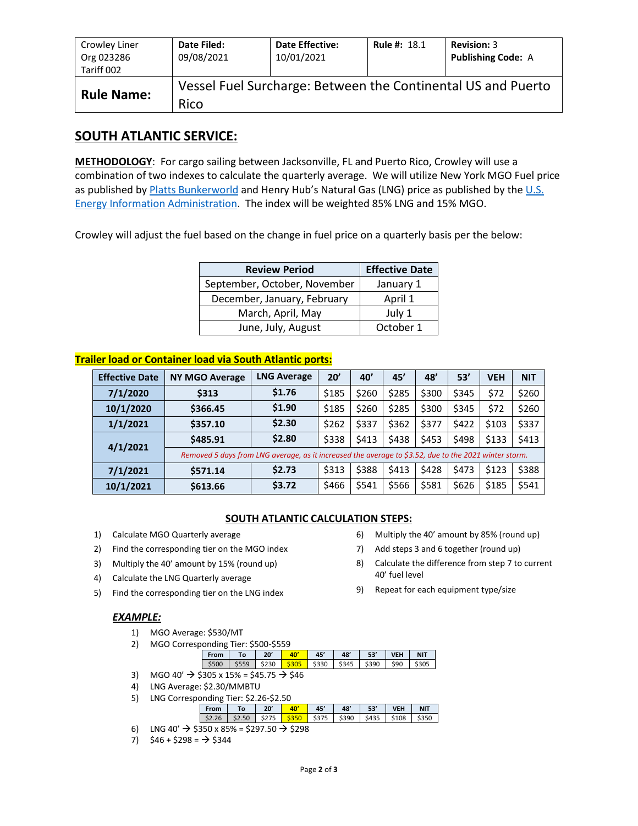| Crowley Liner<br>Org 023286<br>Tariff 002 | Date Filed:<br>09/08/2021 | <b>Date Effective:</b><br>10/01/2021 | <b>Rule #: 18.1</b> | <b>Revision: 3</b><br><b>Publishing Code: A</b>              |
|-------------------------------------------|---------------------------|--------------------------------------|---------------------|--------------------------------------------------------------|
| <b>Rule Name:</b>                         | Rico                      |                                      |                     | Vessel Fuel Surcharge: Between the Continental US and Puerto |

### **SOUTH ATLANTIC SERVICE:**

**METHODOLOGY**: For cargo sailing between Jacksonville, FL and Puerto Rico, Crowley will use a combination of two indexes to calculate the quarterly average. We will utilize New York MGO Fuel price as published b[y Platts Bunkerworld](http://www.bunkerworld.com/) and Henry Hub's Natural Gas (LNG) price as published by the U.S. [Energy Information Administration.](https://www.eia.gov/dnav/ng/hist/rngwhhdD.htm) The index will be weighted 85% LNG and 15% MGO.

Crowley will adjust the fuel based on the change in fuel price on a quarterly basis per the below:

| <b>Review Period</b>         | <b>Effective Date</b> |
|------------------------------|-----------------------|
| September, October, November | January 1             |
| December, January, February  | April 1               |
| March, April, May            | July 1                |
| June, July, August           | October 1             |

#### **Trailer load or Container load via South Atlantic ports:**

| <b>Effective Date</b> | <b>NY MGO Average</b>                                                                                 | <b>LNG Average</b> | 20'   | 40'   | 45'   | 48'   | 53'   | <b>VEH</b> | <b>NIT</b> |
|-----------------------|-------------------------------------------------------------------------------------------------------|--------------------|-------|-------|-------|-------|-------|------------|------------|
| 7/1/2020              | \$313                                                                                                 | \$1.76             | \$185 | \$260 | \$285 | \$300 | \$345 | \$72       | \$260      |
| 10/1/2020             | \$366.45                                                                                              | \$1.90             | \$185 | \$260 | \$285 | \$300 | \$345 | \$72       | \$260      |
| 1/1/2021              | \$357.10                                                                                              | \$2.30             | \$262 | \$337 | \$362 | \$377 | \$422 | \$103      | \$337      |
| 4/1/2021              | \$485.91                                                                                              | \$2.80             | \$338 | \$413 | \$438 | \$453 | \$498 | \$133      | \$413      |
|                       | Removed 5 days from LNG average, as it increased the average to \$3.52, due to the 2021 winter storm. |                    |       |       |       |       |       |            |            |
| 7/1/2021              | \$571.14                                                                                              | \$2.73             | \$313 | \$388 | \$413 | \$428 | \$473 | \$123      | \$388      |
| 10/1/2021             | \$613.66                                                                                              | \$3.72             | \$466 | \$541 | \$566 | \$581 | \$626 | \$185      | \$541      |

#### **SOUTH ATLANTIC CALCULATION STEPS:**

- 1) Calculate MGO Quarterly average
- 2) Find the corresponding tier on the MGO index
- 3) Multiply the 40' amount by 15% (round up)
- 4) Calculate the LNG Quarterly average
- 5) Find the corresponding tier on the LNG index

#### *EXAMPLE:*

- 1) MGO Average: \$530/MT
- 2) MGO Corresponding Tier: \$500-\$559

| From To 20' |  | $\frac{1}{2}$ 40' | 45' | 48'   53'   VEH                                                                   | <b>NIT</b> |
|-------------|--|-------------------|-----|-----------------------------------------------------------------------------------|------------|
|             |  |                   |     | \$500   \$559   \$230 <mark>  \$305  </mark> \$330   \$345   \$390   \$90   \$305 |            |
|             |  |                   |     |                                                                                   |            |

- 3) MGO 40'  $\rightarrow$  \$305 x 15% = \$45.75  $\rightarrow$  \$46
- 4) LNG Average: \$2.30/MMBTU
- 5) LNG Corresponding Tier: \$2.26-\$2.50

|  | $T_{0}$ | 20' | лn    | 45'   | 48'   | 53    | <b>VEH</b> | <b>NIT</b> |
|--|---------|-----|-------|-------|-------|-------|------------|------------|
|  |         |     | \$350 | \$375 | \$390 | \$435 | \$108      |            |
|  | __      |     |       |       |       |       |            |            |

- 6) LNG 40'  $\rightarrow$  \$350 x 85% = \$297.50  $\rightarrow$  \$298
- 7)  $$46 + $298 = \rightarrow $344$
- 6) Multiply the 40' amount by 85% (round up)
- 7) Add steps 3 and 6 together (round up)
- 8) Calculate the difference from step 7 to current 40' fuel level
- 9) Repeat for each equipment type/size